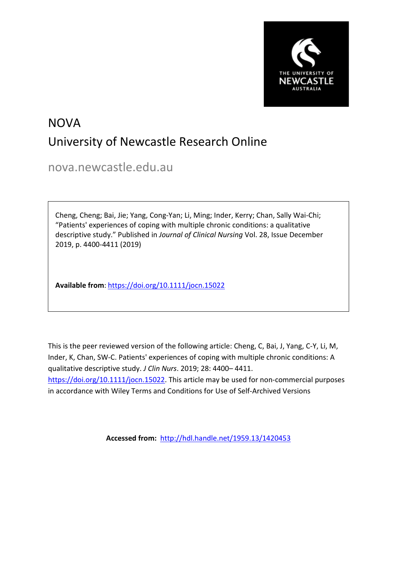

# NOVA University of Newcastle Research Online

nova.newcastle.edu.au

Cheng, Cheng; Bai, Jie; Yang, Cong-Yan; Li, Ming; Inder, Kerry; Chan, Sally Wai-Chi; "Patients' experiences of coping with multiple chronic conditions: a qualitative descriptive study." Published in *Journal of Clinical Nursing* Vol. 28, Issue December 2019, p. 4400-4411 (2019)

**Available from**: <https://doi.org/10.1111/jocn.15022>

This is the peer reviewed version of the following article: Cheng, C, Bai, J, Yang, C-Y, Li, M, Inder, K, Chan, SW-C. Patients' experiences of coping with multiple chronic conditions: A qualitative descriptive study. *J Clin Nurs*. 2019; 28: 4400– 4411. [https://doi.org/10.1111/jocn.15022.](https://doi.org/10.1111/jocn.15022) This article may be used for non-commercial purposes in accordance with Wiley Terms and Conditions for Use of Self-Archived Versions

**Accessed from:** <http://hdl.handle.net/1959.13/1420453>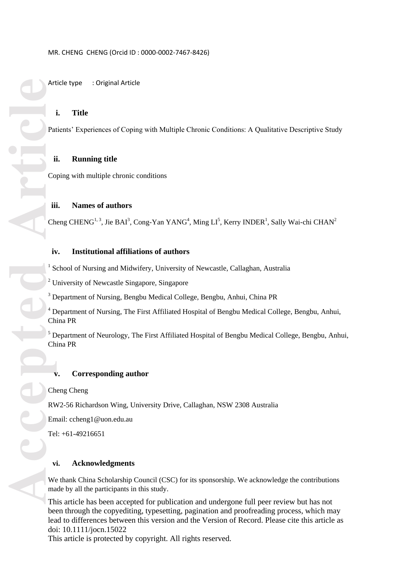#### MR. CHENG CHENG (Orcid ID : 0000 -0002 -7467 -8426)

Article type : Original Article

# **i. Title**

Patients' Experiences of Coping with Multiple Chronic Conditions: A Qualitative Descriptive Study

#### **ii. Running title**

Coping with multiple chronic conditions

# **iii. Names of authors**

Cheng CHENG<sup>1, 3</sup>, Jie BAI<sup>3</sup>, Cong-Yan YANG<sup>4</sup>, Ming LI<sup>5</sup>, Kerry INDER<sup>1</sup>, Sally Wai-chi CHAN<sup>2</sup>

# **iv. Institutional affiliations of authors**

<sup>1</sup> School of Nursing and Midwifery, University of Newcastle, Callaghan, Australia

<sup>2</sup> University of Newcastle Singapore, Singapore

<sup>3</sup> Department of Nursing, Bengbu Medical College, Bengbu, Anhui, China PR

<sup>4</sup> Department of Nursing, The First Affiliated Hospital of Bengbu Medical College, Bengbu, Anhui, China PR

<sup>5</sup> Department of Neurology, The First Affiliated Hospital of Bengbu Medical College, Bengbu, Anhui, China PR

## **v. Corresponding author**

Cheng Cheng

RW2 -56 Richardson Wing, University Drive, Callaghan, NSW 2308 Australia

Email: ccheng1@uon.edu.au

Tel: +6 1 -49216651

# **vi. Acknowledgments**

We thank China Scholarship Council (CSC) for its sponsorship. We acknowledge the contributions made by all the participants in this study.

This article has been accepted for publication and undergone full peer review but has not been through the copyediting, typesetting, pagination and proofreading process, which may lead to differences between this version and the Version of Record. Please cite this article as doi: 10.1111/jocn.15022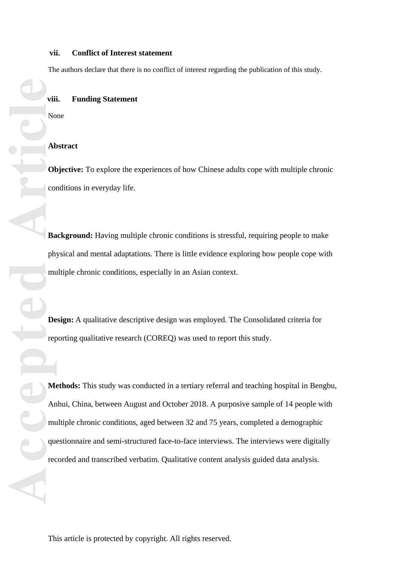# **vii. Conflict of Interest statement**

The authors declare that there is no conflict of interest regarding the publication of this study.

## **viii. Funding Statement**

None

#### **Abstract**

**Objective:** To explore the experiences of how Chinese adults cope with multiple chronic conditions in everyday life.

Background: Having multiple chronic conditions is stressful, requiring people to make physical and mental adaptations. There is little evidence exploring how people cope with multiple chronic conditions, especially in an Asian context.

**Design:** A qualitative descriptive design was employed. The Consolidated criteria for reporting qualitative research (COREQ) was used to report this study.

**Contract of the Contract of Contract of Contract of Contract of Contract of Contract of Contract of Contract of Contract of Contract of Contract of Contract of Contract of Contract of Contract of Contract of Contract of C Methods:** This study was conducted in a tertiary referral and teaching hospital in Bengbu, Anhui, China, between August and October 2018. A purposive sampl e of 14 people with multiple chronic conditions, aged between 32 and 75 years , completed a demographic questionnaire and semi-structured face-to-face interviews. The interviews were digitally recorded and transcribed verbatim. Qualitative content analysis guided data analysis.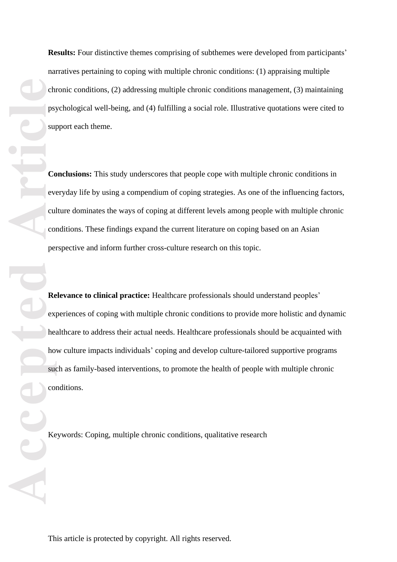Results: Four distinctive themes comprising of subthemes were developed from participants' narratives pertaining to coping with multiple chronic conditions: (1) appraising multiple chronic conditions, (2) addressing multiple chronic conditions management, (3) maintaining psychological well -being, and (4) fulfilling a social role. Illustrative quotations were cited to support each theme.

**Conclusions:** This study underscores that people cope with multiple chronic conditions in everyday life by using a compendium of coping strategies. As one of the influencing factors, culture dominates the ways of coping at different levels among people with multiple chronic conditions. These findings expand the current literature on coping based on an Asian perspective and inform further cross -culture research on this topic.

**CC**<br> **Accepted Article**<br> **Article**<br> **Article**<br> **Article**<br> **Article**<br> **Article**<br> **Article**<br> **Article**<br> **Article**<br> **Article**<br> **Article**<br> **Article**<br> **Article**<br> **Article**<br> **Article**<br> **Article**<br> **Article**<br> **Article**<br> **Articl Relevance to clinical practice:** Healthcare professionals should understand peoples' experiences of coping with multiple chronic conditions to provide more holistic and dynamic healthcare to address their actual needs. Healthcare professionals should be acquainted with how culture impacts individuals ' coping and develop culture -tailored supportive programs such as family -based interventions , to promote the health of people with multiple chronic conditions .

Keywords: Coping, multiple chronic conditions, qualitative research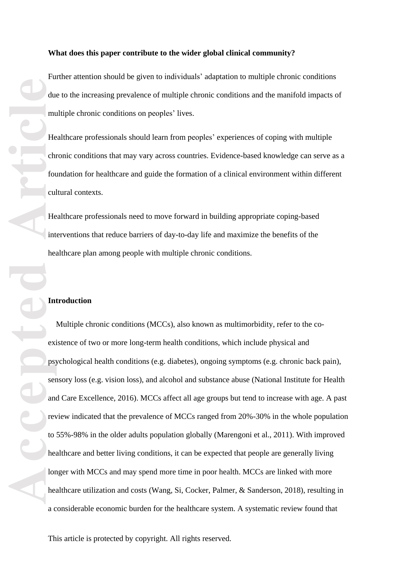#### **What does this paper contribute to the wider global clinical community?**

Further attention should be given to individuals' adaptation to multiple chronic conditions due to the increasing prevalence of multiple chronic conditions and the manifold impacts of multiple chronic conditions on peoples' lives.

Healthcare professionals should learn from peoples' experiences of coping with multiple chronic conditions that may vary across countries. Evidence -based knowledge can serve as a foundation for healthcare and guide the formation of a clinical environment within different cultural contexts.

Healthcare professionals need to move forward in building appropriate coping -based interventions that reduce barriers of day -to -day life and maximize the benefits of the healthcare plan among people with multiple chronic conditions.

# **Introduction**

Multiple chronic conditions (MCCs), also known as multimorbidity, refer to the co existence of two or more long -term health conditions, which include physical and psychological health conditions (e.g. diabetes), ongoing symptoms (e.g. chronic back pain), sensory loss (e.g. vision loss), and alcohol and substance abuse (National Institute for Health and Care Excellence, 2016) . MCCs affect all age groups but tend to increase with age. A past review indicated that the prevalence of MCCs ranged from 20% -30% in the whole population to 55% -98% in the older adults population globally (Marengoni et al., 2011) . With improved healthcare and better living conditions, it can be expected that people are generally living longer with MCCs and may spend more time in poor health. MCCs are linked with more healthcare utilization and costs (Wang, Si, Cocker, Palmer, & Sanderson, 2018), resulting in a considerable economic burden for the healthcare system. A systematic review found that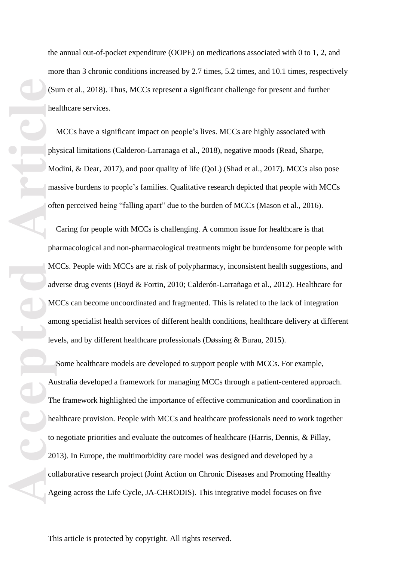Southeast Contract of the Manual Contract of the Manual Contract of the Manual Contract of the Manual Contract of the Manual Contract of the Manual Contract of the Manual Contract of the Manual Contract of the Manual Contr

the annual out -of-pocket expenditure (OOPE) on medications associated with 0 to 1, 2, and more than 3 chronic conditions increased by 2.7 times, 5.2 times, and 10.1 times, respectively (Sum et al., 2018). Thus, MCCs represent a significant challenge for present and further healthcare services.

MCCs have a significant impact on people's lives. MCCs are highly associated with physical limitations (Calderon -Larranaga et al., 2018), negative moods (Read, Sharpe, Modini, & Dear, 2017), and poor quality of life (QoL) (Shad et al., 2017). MCCs also pose massive burdens to people's families. Qualitative research depicted that people with MCCs often perceived being "falling apart" due to the burden of MCCs (Mason et al., 2016).

Caring for people with MCCs is challenging. A common issue for healthcare is that pharmacological and non -pharmacological treatments might be burdensome for people with MCCs. People with MCCs are at risk of polypharmacy, inconsistent health suggestions, and adverse drug events (Boyd & Fortin, 2010; Calderón -Larrañaga et al., 2012). Healthcare for MCCs can become uncoordinated and fragmented. This is related to the lack of integration among specialist health services of different health conditions, healthcare delivery at different levels , and by different healthcare professionals (Døssing & Burau, 2015) .

Some healthcare models are developed to support people with MCCs. For example, Australia developed a framework for managing MCCs through a patient -centered approach. The framework highlighted the importance of effective communication and coordination in healthcare provision. People with MCCs and healthcare professionals need to work together to negotiate priorities and evaluate the outcomes of healthcare (Harris, Dennis, & Pillay, 2013) . In Europe, the multimorbidity care model was designed and developed by a collaborative research project (Joint Action on Chronic Diseases and Promoting Healthy Ageing across the Life Cycle, JA -CHRODIS). This integrative model focuses on five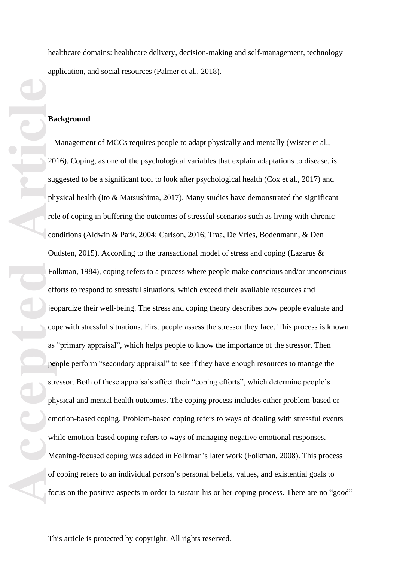healthcare domains: healthcare delivery, decision -making and self-management, technology application, and social resources (Palmer et al., 2018) .

## **Background**

**Accepted Article** Management of MCCs requires people to adapt physically and mentally (Wister et al., 2016). Coping, as one of the psychological variables that explain adaptations to disease , is suggested to be a significant tool to look after psychological health (Cox et al., 2017) and physical health (Ito & Matsushima, 2017). Many studies have demonstrated the significant role of coping in buffering the outcomes of stressful scenarios such as living with chronic conditions (Aldwin & Park, 2004; Carlson, 2016; Traa, De Vries, Bodenmann, & Den Oudsten, 2015). According to the transactional model of stress and coping (Lazarus  $\&$ Folkman, 1984) , coping refers to a process where people make conscious and/or unconscious efforts to respond to stressful situations, which exceed their available resources and jeopardize their well -being. The stress and coping theory describe s how people evaluate and cope with stressful situations. First people assess the stressor they face. This process is known as "primary appraisal" , which help s people to know the importance of the stressor. Then people perform "secondary appraisal" to see if they have enough resources to manage the stressor. Both of these appraisals affect their "coping efforts", which determine people's physical and mental health outcomes. The coping process includes either problem -based or emotion -based coping. Problem -based coping refers to ways of dealing with stressful events while emotion-based coping refers to ways of managing negative emotional responses. Meaning -focused coping was added in Folkman's later work (Folkman, 2008). This process of coping refers to an individual person's personal beliefs , values, and existential goals to focus on the positive aspects in order to sustain his or her coping process. There are no "good"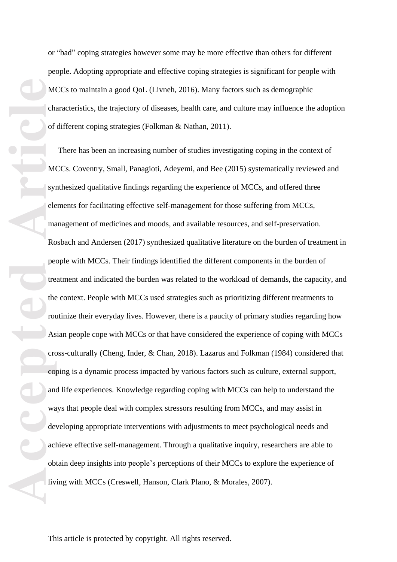or "bad " coping strategies however some may be more effective than others for different people. Adopting appropriate and effective coping strategies is significant for people with MCCs to maintain a good Qo L (Livneh, 2016). Many factors such as demographic characteristics, the trajectory of diseases, health care, and culture may influence the adoption of different coping strategies (Folkman & Nathan, 2011).

Media<br>
of the of the pedia<br>
article<br>
As<br>
of the pedia<br>
accepted<br>
accepted<br>
accepted<br>
accepted<br>
accepted<br>
accepted<br>
accepted<br>
iiv There has been a n increasing number of studies investigating coping in the context of MCCs. Coventry, Small, Panagioti, Adeyemi, and Bee (2015) systematically reviewed and synthesized qualitative findings regarding the experience of MCCs, and offered three elements for facilitating effective self-management for those suffering from MCCs, management of medicines and moods, and available resources, and self-preservation. Rosbach and Andersen (2017) synthesized qualitative literature on the burden of treatment in people with MCCs. Their findings identified the different components in the burden of treatment and indicated the burden was related to the workload of demands, the capacity , and the context. People with MCCs used strategies such as prioritizing different treatments to routinize their everyday lives. However, there is a paucity of primary studies regarding how Asian people cope with MCCs or that have considered the experience of coping with MCCs cross -culturally (Cheng, Inder, & Chan, 2018). Lazarus and Folkman (1984) considered that coping is a dynamic process impacted by various factors such as culture, external support, and life experiences. Knowledge regarding coping with MCCs can help to understand the ways that people deal with complex stressors resulting from MCCs, and may assist in developing appropriate interventions with adjustments to meet psychological needs and achieve effective self-management. Through a qualitative inquiry, researchers are able to obtain deep insight s into people's perceptions o f their MCCs to explore th e experience of living with MCCs (Creswell, Hanson, Clark Plano, & Morales, 2007) .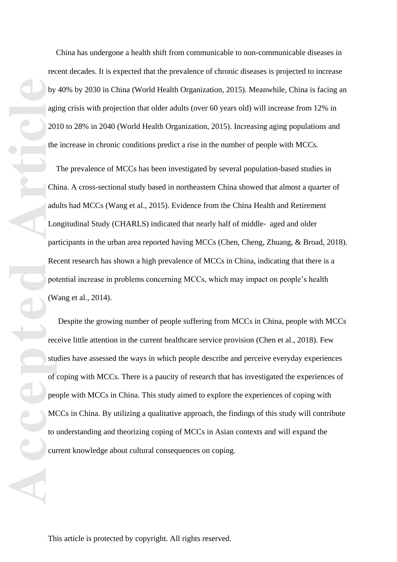China has undergone a health shift from communicable to non -communicable diseases in recent decades. It is expected that the prevalence of chronic diseases is projected to increase by 40% by 2030 in China (World Health Organization, 2015). Meanwhile, China is facing an aging crisis with projection that older adults (over 60 years old) will increase from 12% in 2010 to 28% in 2040 (World Health Organization, 2015). Increasing aging populations and the increase in chronic conditions predict a rise in the number of people with MCCs.

The prevalence of MCCs has been investigated by several population -based studies in China. A cross -sectional study based in northeastern China showed that almost a quarter of adults had MCCs (Wang et al., 2015). Evidence from the China Health and Retirement Longitudinal Study (CHARLS) indicated that nearly half of middle ‐ aged and older participants in the urban area reported having MCCs (Chen, Cheng, Zhuang, & Broad, 2018). Recent research has shown a high prevalence of MCCs in China, indicating that there is a potential increase in problems concerning MCCs, which may impact on people's health (Wang et al., 2014).

by agi<br>agi<br>20<br>the adi<br>Do particle<br>po (W<br>rec stu of per Mt to current of per Mt to current of per Mt to current of the current of the current of the current of the current of the current of the current of the current of the Despite the growing number of people suffering from MCCs in China, people with MCCs receive little attention in the current healthcare service provision (Chen et al., 2018). Few studies have assessed the ways in which people describe and perceive everyday experiences of coping with MCCs. There is a paucity of research that has investigated the experiences of people with MCCs in China. This study aimed to explore the experiences of coping with MCCs in China. By utilizing a qualitative approach, the findings of this study will contribute to understanding and theorizing coping of MCCs in Asian contexts and will expand the current knowledge about cultural consequences on coping.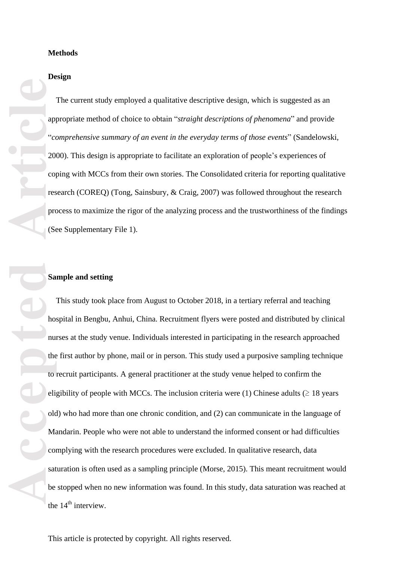# **Design**

 The current study employed a qualitative descriptive design, which is suggested as an appropriate method of choice to obtain "*straight descriptions of phenomena*" and provide "*comprehensive summary of an event in the everyday terms of those events*" (Sandelowski, 2000). This design is appropriate to facilitate an exploration of people's experiences of coping with MCCs from their own stories. The Consolidated criteria for reporting qualitative research (COREQ) (Tong, Sainsbury, & Craig, 2007) was followed throughout the research process to maximize the rigor of the analyzing process and the trustworthiness of the findings (See Supplementary File 1).

# **Sample and setting**

**Accepted Article**<br> **Article**<br> **Article**<br> **Article**<br> **Article**<br> **Article**<br> **Article**<br> **Article**<br> **Article**<br> **Article**<br> **Article**<br> **Article**<br> **Article**<br> **Article**<br> **Article**<br> **Article**<br> **Article**<br> **Article**<br> **Article**<br> **A**  This study took place from August to October 2018, in a tertiary referral and teaching hospital in Bengbu, Anhui, China. Recruitment flyers were posted and distributed by clinical nurses at the study venue. Individuals interested in participating in the research approached the first author by phone, mail or in person. This study used a purposive sampling technique to recruit participants. A general practitioner at the study venue helped to confirm the eligibility of people with MCCs. The inclusion criteria were (1) Chinese adults  $( \geq 18 \text{ years})$ old) who had more than one chronic condition , and (2) can communicate in the language of Mandarin. People who were not able to understand the informed consent or had difficulties complying with the research procedures were excluded. In qualitative research, data saturation is often used as a sampling principle (Morse, 2015). This meant recruitment would be stopped when no new information was found . In this study, data saturation was reached at the  $14<sup>th</sup>$  interview.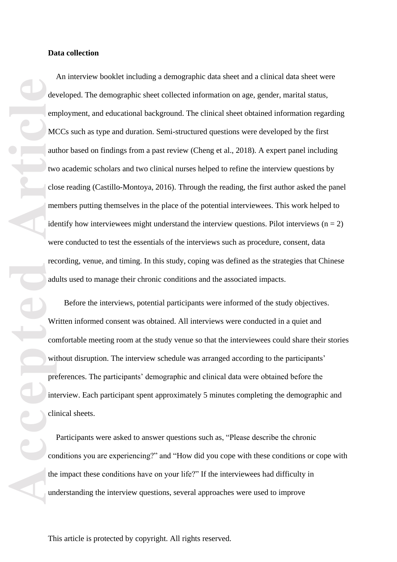**Accepted Article**<br> **Article**<br> **Article**<br> **Article**<br> **Article**<br> **Article**<br> **Article**<br> **Article**<br> **Article**<br> **Article**<br> **Article**<br> **Article**<br> **Article**<br> **Article**<br> **Article**<br> **Article**<br> **Article**<br> **Article**<br> **Article**<br> **A** An interview booklet including a demographic data sheet and a clinical data sheet were developed. The demographic sheet collected information on age, gender, marital status, employment, and educational background. The clinical sheet obtained information regarding MCCs such as type and duration. Semi -structured questions were developed by the first author based on findings from a past review (Cheng et al., 2018). A expert panel including two academic scholars and two clinical nurses helped to refine the interview questions by close reading (Castillo -Montoya, 2016). Through the reading, the first author asked the panel members putting themselves in the place of the potential interviewees. This work helped to identify how interviewees might understand the interview questions. Pilot interviews ( $n = 2$ ) were conducted to test the essentials of the interviews such as procedure, consent, data recording, venue, and timing. In this study, coping was defined as the strategies that Chinese adults used to manage their chronic conditions and the associated impacts.

 Before the interviews, potential participants were informed of the study objectives. Written informed consent was obtained. All interviews were conducted in a quiet and comfortable meeting room at the study venue so that the interviewees could share their stories without disruption. The interview schedule was arranged according to the participants' preferences. The participants' demographic and clinical data were obtained before the interview. Each participant spent approximately 5 minutes completing the demographic and clinical sheets.

Participants were asked to answer questions such as, "Please describe the chronic conditions you are experiencing?" and "How did you cope with these conditions or cope with the impact these conditions have on your life?" If the interviewees had difficulty in understanding the interview questions, several approaches were used to improve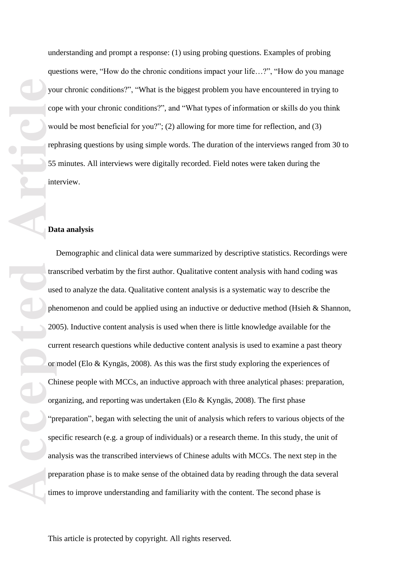understanding and prompt a response: (1) using probing questions. Examples of probing questions were, "How do the chronic conditions impact your life…?", "How do you manage your chronic conditions?", "What is the biggest problem you have encountered in trying to cope with your chronic conditions?" , and "What types of information or skills do you think would be most beneficial for you?"; (2) allowing for more time for reflection , and (3) rephrasing questions by using simpl e words. The duration of the interview s ranged from 30 to 55 minutes. All interviews were digitally recorded. Field notes were taken during the interview.

#### **Data analysis**

**Accepted Articles Condensation Articles Condensation Article Article Article Article Article Article Article Article Article Article Article Article Article Article Article Article** Demographic and clinical data were summarized by descriptive statistics. Recordings were transcribed verbatim by the first author. Qualitative content analysis with hand coding was used to analy z e the data. Qualitative content analysis is a systematic way to describe the phenomenon and could be applied using an inductive or deductive method (Hsieh & Shannon, 2005). Inductive content analysis is used when there is little knowledge available for the current research questions while deductive content analysis is used to examine a past theory or model (Elo & Kyngäs, 2008). As this was the first study exploring the experiences of Chinese people with MCCs, a n inductive approach with three analytical phases: preparation, organizing , and reporting was undertaken (Elo & Kyngäs, 2008). The first phase " preparation", began with selecting the unit of analysis which refers to various objects of the specific research (e.g. a group of individuals) or a research theme. In this study, the unit of analysis was the transcribed interviews of Chinese adults with MCCs. The next step in the preparation phase is to make sense of the obtained data by reading through the data several times to improve understanding and familiarity with the content. The second phase is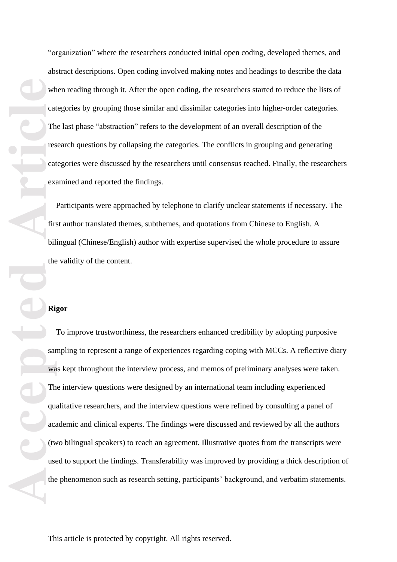"organization" where the researchers conducted initial open coding, developed themes, and abstract descriptions. Open coding involved making notes and headings to describe the data when reading through it. After the open coding, the researchers started to reduce the lists of categories by grouping those similar and dissimilar categories into higher -order categories . The last phase "abstraction" refers to the development of an overall description of the research questions by collapsing the categories. The conflicts in grouping and generating categories were discussed by the researchers until consensus reached. Finally, the researcher s examine d and reported the findings.

Participants were approached by telephone to clarify unclear statements if necessary. The first author translated themes, subthemes, and quotations from Chinese to English. A bilingual (Chinese/English) author with expertise supervised the whole procedure to assure the validity of the content .

### **Rigor**

We cat The research of the Right of the Cat exists of the Right of the Cat of the Cat of the distribution of the the the the the cat of the state of the cate of the cate of the state of the cate of the cate of the cate of To improve trustworthiness, the researchers enhance d credibility by adopting purposive sampling to represent a range of experiences regarding coping with MCCs. A reflective diary was kept throughout the interview process, and memos of preliminary analyses were taken. The interview questions were designed by an international team including experienced qualitative researcher s, and the interview questions were refined by consulting a panel of academic and clinical experts. The findings were discussed and reviewed by all the authors (two bilingual speakers) to reach an agreement. Illustrative quotes from the transcripts were used to support the findings. Transferability was improved by providing a thic k description of the phenomenon such as research setting, participants' background, and verbatim statements.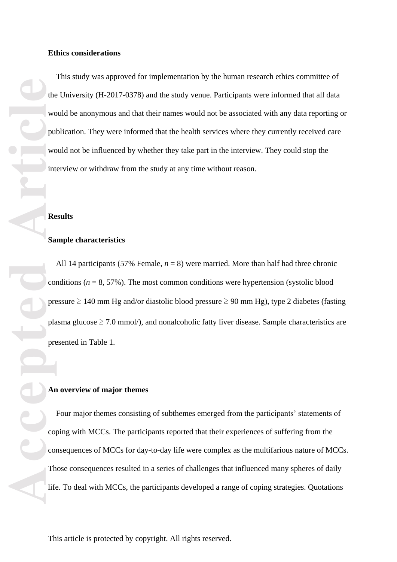**Example 18**<br> **Article**<br> **Article**<br> **Article**<br> **Article**<br> **Article**<br> **Article**<br> **Article**<br> **Article** This study was approved for implementation by the human research ethics committee of the University (H -2017 -0378) and the study venue. Participants were informed that all data would be anonymous and that their names would not be associated with any data reporting or publication. They were informed that the health services where they currently received care would not be influenced by whether they take part in the interview. They could stop the interview or withdraw from the study at any time without reason .

#### **Results**

# **Sample characteristics**

All 14 participants (57% Female,  $n = 8$ ) were married. More than half had three chronic conditions  $(n = 8, 57\%)$ . The most common conditions were hypertension (systolic blood pressure  $\geq 140$  mm Hg and/or diastolic blood pressure  $\geq 90$  mm Hg), type 2 diabetes (fasting plasma glucose  $\geq 7.0$  mmol/), and nonalcoholic fatty liver disease. Sample characteristics are presented in Table 1.

#### **An overview of major themes**

Four major themes consisting of subthemes emerged from the participants' statements of coping with MCCs. The participants reported that their experiences of suffering from the consequences of MCCs for day -to -day life were complex as the multifarious nature of MCCs. Those consequences resulted in a series of challenges that influenced many spheres of daily life. To deal with MCCs, the participants developed a range of coping strategies. Quotations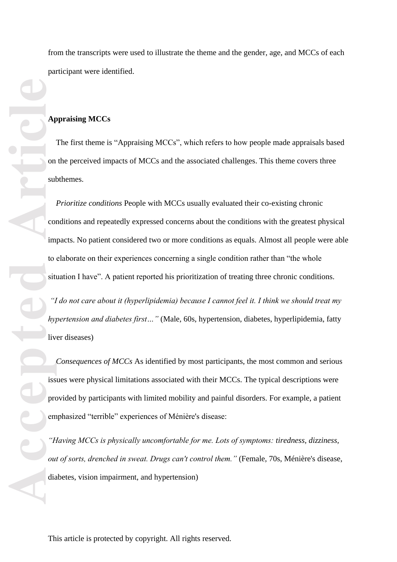from the transcripts were used to illustrate the theme and the gender, age, and MCCs of each participant were identified.

# **Appraising MCCs**

The first theme is "Appraising MCCs", which refers to how people made appraisals based on the perceived impacts of MCCs and the associated challenges. This theme covers three subthemes.

**Article**<br> **Article**<br> **Article**<br> **Article**<br> **Article**<br> **Article**<br> **Article**<br> **Article**<br> **Article**<br> **Article**<br> **Article**<br> **Article**<br> **Article**<br> **Article**<br> **Article** *Prioritize conditions* People with MCCs usually evaluated their co-existing chronic conditions and repeatedly expressed concerns about the conditions with the greatest physical impacts. No patient considered two or more conditions as equals. Almost all people were able to elaborate on their experiences concerning a single condition rather than "the whole situation I have". A patient reported his prioritization of treating three chronic conditions.

*"I do not care about it (hyperlipidemia) because I cannot feel it. I think we should treat my hypertension and diabetes first…"* (Male, 60s, hypertension, diabetes, hyperlipidemia, fatty liver diseases)

 *Consequences of MCCs* As identified by most participants, the most common and serious issues were physical limitations associated with their MCCs. The typical descriptions were provided by participants with limited mobility and painful disorders. For example, a patient emphasized "terrible" experiences of Ménière's disease:

*"Having MCCs is physically uncomfortable for me. Lots of symptoms: tiredness, dizziness, out of sorts, drenched in sweat. Drugs can't control them."* (Female, 70s, Ménière's disease, diabetes, vision impairment, and hypertension)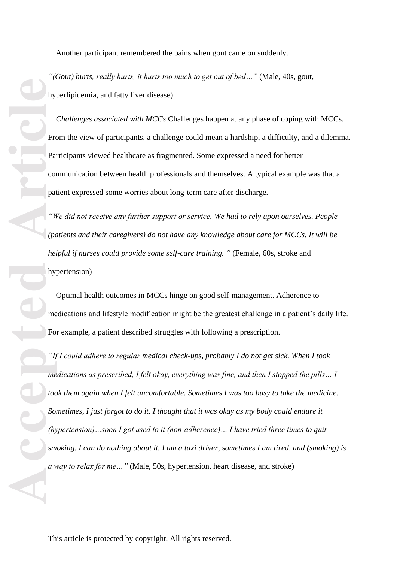Another participant remembered the pains when gout came on suddenly.

*"(Gout ) hurts, really hurts, it hurts too much to get out of bed… "* (Male, 40s, gout, hyperlipidemia, and fatty liver disease)

*Challenges associated with MCCs* Challenges happen at any phase of coping with MCCs. From the view of participants, a challenge could mean a hardship, a difficulty, and a dilemma. Participants viewed healthcare as fragmented. Some expressed a need for better communication between health professionals and themselves. A typical example was that a patient expressed some worries about long -term care after discharge.

*"We did not receive any further support or service. We had to rely upon ourselves. People (patients and their caregivers) do not have any knowledge about care for MCCs. It will be helpful if nurses could provide some self-care training.* " (Female, 60s, stroke and hypertension)

Optimal health outcomes in MCCs hinge on good self-management. Adherence to medications and lifestyle modification might be the greatest challenge in a patient's daily life. For example, a patient described struggles with following a prescription.

**Accepted Articles Contained Articles Contained Articles Contained Properties Contained and a set of the set of the set of the set of the set of the set of the set of the set of the set of the set of the set of the s** "If I could adhere to regular medical check-ups, probably I do not get sick. When I took *medications as prescribed, I felt okay, everything was fine, and then I stopped the pills… I took them again when I felt uncomfortable. Sometimes I was too busy to take the medicine. Sometimes, I just forgot to do it. I thought that it was okay as my body could endure it (hypertension)…soon I got used to it (non -adherence)… I have tried three times to quit smoking. I can do nothing about it. I am a taxi driver, sometimes I am tired, and (smoking) is a way to relax for me…"* (Male, 50s, hypertension, heart disease, and stroke)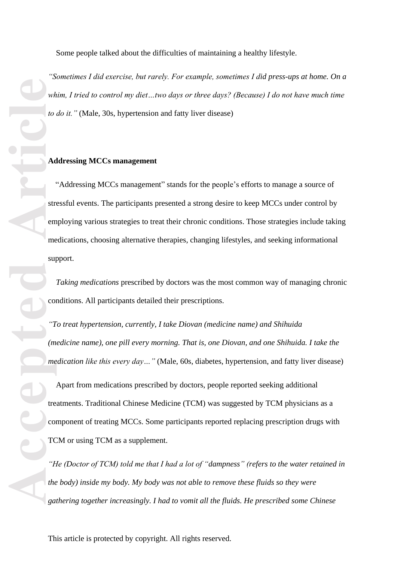Some people talked about the difficulties of maintaining a healthy lifestyle.

*"Sometimes I did exercise, but rarely. For example, sometimes I did press -ups at home. On a whim, I tried to control my diet…two days or three days? (Because) I do not have much time to do it."* (Male, 30s, hypertension and fatty liver disease)

## **Addressing MCCs management**

"Addressing MCCs management " stands for the people's efforts to manage a source of stressful events. The participants presented a strong desire to keep MCCs under control by employing various strategies to treat their chronic conditions. Those strategies include taking medications, choosing alternative therapies, changing lifestyles, and seeking informational support.

 *Taking medications* prescribed by doctors was the most common way of managing chronic conditions. All participants detailed their prescriptions.

*"To treat hypertension, currently, I take Diovan (medicine name) and Shihuida (medicine name), one pill every morning. That is, one Diovan, and one Shihuida. I take the medication like this every day…"* (Male, 60s, diabetes, hypertension, and fatty liver disease)

 Apart from medications prescribed by doctors, people reported seeking additional treatments. Traditional Chinese Medicine (TCM) was suggested by TCM physicians as a component of treating MCCs. Some participants reported replacing prescription drugs with TCM or using TCM as a supplement.

*"He (Doctor of TCM) told me that I had a lot of "dampness" (refers to the water retained in the body) inside my body. My body was not able to remove these fluids so they were gathering together increasingly. I had to vomit all the fluids. He prescribed some Chinese*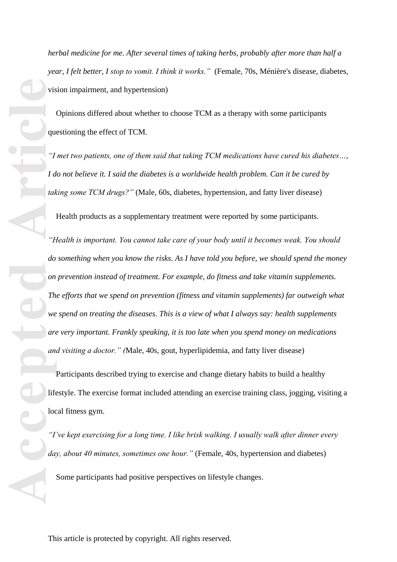*herbal medicine for me. After several times of taking herbs, probably after more than half a year, I felt better, I stop to vomit. I think it works."* (Female, 70s, Ménière's disease, diabetes, vision impairment, and hypertension)

Opinions differed about whether to choose TCM as a therapy with some participants questioning the effect of TCM.

*"I met two patients, one of them said that taking TCM medications have cured his diabetes…,*  I do not believe it. I said the diabetes is a worldwide health problem. Can it be cured by *taking some TCM drugs?"* (Male, 60s, diabetes, hypertension, and fatty liver disease)

Health products as a supplementary treatment were reported by some participants.

**Accepted Article**<br> **Article**<br> **Article**<br> **Article**<br> **Article**<br> **Article**<br> **Article**<br> **Article**<br> **Article**<br> **Article**<br> **Article**<br> **Article**<br> **Article**<br> **Article**<br> **Article**<br> **Article**<br> **Article**<br> **Article**<br> **Article** *"Health is important. You cannot take care of your body until it becomes weak. You should do something when you know the risks. As I have told you before, we should spend the money on prevention instead of treatment. For example, do fitness and take vitamin supplements. The efforts that we spend on prevention (fitness and vitamin supplements) far outweigh what we spend on treating the diseases. This is a view of what I always say: health supplements are very important. Frankly speaking, it is too late when you spend money on medications and visiting a doctor." (*Male, 40s, gout, hyperlipidemia, and fatty liver disease)

 Participants described trying to exercise and change dietary habits to build a healthy lifestyle. The exercise format included attending an exercise training class, jogging, visiting a local fitness gym.

*"I've kept exercising for a long time. I like brisk walking. I usually walk after dinner every*  day, about 40 minutes, sometimes one hour." (Female, 40s, hypertension and diabetes)

Some participants had positive perspectives on lifestyle changes.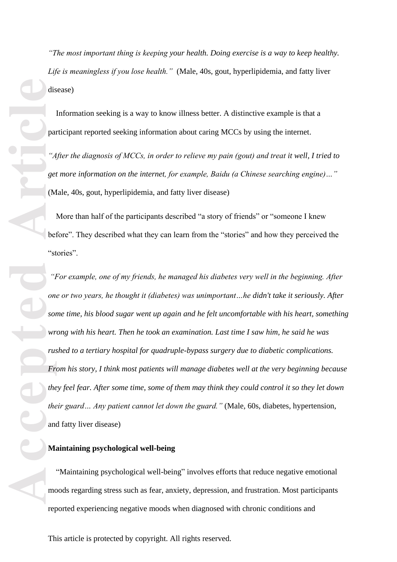*"The most important thing is keeping your health. Doing exercise is a way to keep health y. Life is meaningless if you lose health."* (Male, 40s, gout, hyperlipidemia, and fatty liver disease)

 Information seeking is a way to know illness better. A distinctive example is that a participant reported seeking information about caring MCCs by using the internet.

"After the diagnosis of MCCs, in order to relieve my pain (gout) and treat it well, I tried to *get more information on the internet, for example, Baidu (a Chinese searching engine)…"* (Male, 40s, gout, hyperlipidemia, and fatty liver disease)

 More than half of the participants described "a story of friends" or "someone I knew before". They described what they can learn from the "stories" and how they perceived the "stories".

*"For example, one of my friends, he managed his diabetes very well in the beginning. After one or two years, he thought it (diabetes) was unimportant…he didn't take it seriously. After some time, his blood sugar went up again and he felt uncomfortable with his heart, something wrong with his heart. Then he took an examination. Last time I saw him, he said he was rushed to a tertiary hospital for quadruple -bypass surgery due to diabetic complications. From his story, I think most patients will manage diabetes well at the very beginning because they feel fear. After some time, some of them may think they could control it so they let down their guard… Any patient cannot let down the guard."* (Male, 60s, diabetes, hypertension, and fatty liver disease)

# **Maintaining psychological well -being**

"Maintaining psychological well -being " involves efforts that reduce negative emotional moods regarding stress such as fear, anxiety, depression , and frustration. Most participants reported experiencing negative moods when diagnosed with chronic conditions and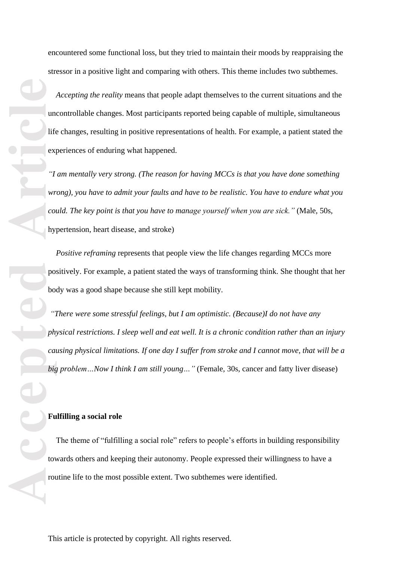encountered some functional loss, but they tried to maintain their mood s by reappraising the stressor in a positive light and comparing with others. This theme includes two subthemes.

*Accepting the reality* means that people adapt themselves to the current situations and the uncontrollable changes. Most participants reported being capable of multiple, simultaneous life changes, resulting in positive representation s of health. For example, a patient stated the experiences of enduring what happened.

*"I am mentally very strong. (The reason for having MCCs is that you have done something wrong), you have to admit your faults and have to be realistic. You have to endure what you could. The key point is that you have to manage yourself when you are sick."* (Male, 50s, hypertension, heart disease, and stroke )

*Positive reframing* represents that people view the life changes regarding MCCs more positively. For example, a patient stated the ways of transforming think. She thought that her body was a good shape because she still kept mobility.

**Accepted Articles Inc.**<br> **Articles Property**<br> **Articles Property**<br> **Articles Property**<br> **Articles Property**<br> **Articles Property**<br> **Articles Property**<br> **Articles Property**<br> **Articles Property** *"There were some stressful feelings, but I am optimistic. (Because)I do not have any physical restrictions. I sleep well and eat well. It is a chronic condition rather than an injury causing physical limitations. If one day I suffer from stroke and I cannot move, that will be a big problem…Now I think I am still young … "* (Female, 30s, cancer and fatty liver disease)

# **Fulfilling a social role**

The theme of "fulfilling a social role" refers to people's efforts in building responsibility towards others and keeping their autonomy. People expressed their willingness to have a routine life to the most possible extent. Two subthemes were identified.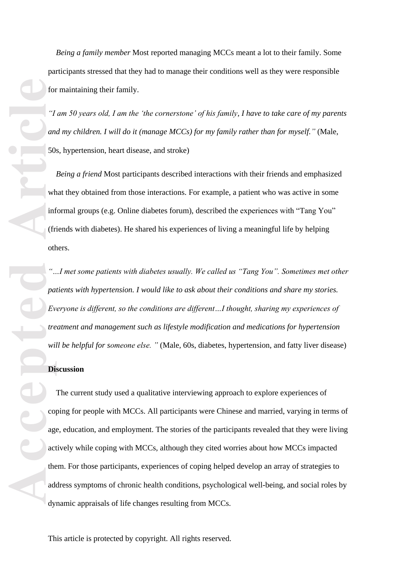*Being a family member* Most reported managing MCCs meant a lot to their family. Some participants stressed that they had to manage their conditions well as they were responsible for maintaining their family.

*"I am 50 years old, I am the 'the cornerstone' of his family, I have to take care of my parents and my children. I will do it (manage MCCs) for my family rather than for myself. "* (Male, 50s, hypertension, heart disease, and stroke )

*Being a friend* Most participants described interactions with their friends and emphasized what they obtained from those interactions. For example, a patient who was active in some informal groups (e.g. Online diabetes forum), described the experiences with " Tang You" (friends with diabetes). He shared his experiences of living a meaningful life by helping others.

*"…I met some patients with diabetes usually. We called us "Tang You". Sometimes met other patients with hypertension. I would like to ask about their conditions and share my stories. Everyone is different, so the conditions are different…I thought, sharing my experiences of treatment and management such as lifestyle modification and medications for hypertension will be helpful for someone else. "* (Male, 60s, diabetes, hypertension, and fatty liver disease)

# **Discussion**

For the contract of the contract of the contract of the contract of the contract of the contract of the contract of the contract of the contract of the contract of the contract of the contract of the contract of the contra The current study use d a qualitative interviewing approach to explore experiences of coping for people with MCCs. All participants were Chinese and married, varying in terms of age, education, and employment. The stories of the participants revealed that they were living actively while coping with MCCs, although they cited worries about how MCCs impacted them. For those participants, experiences of coping helped develop an array of strategies to address symptoms of chronic health conditions, psychological well -being, and social roles by dynamic appraisals of life changes resulting from MCCs.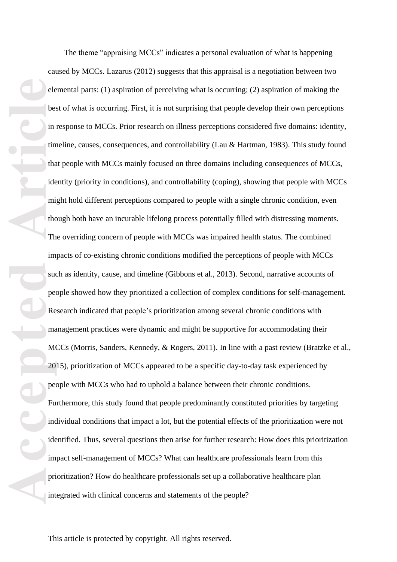ele bet in time in the index of the index of the man and the man and the man and the man and the man and the man and the man and the man and the man and the man and the man and the man and the man and the man and the man a The theme "appraising MCCs" indicates a personal evaluation of what is happening caused by MCCs. Lazarus (2012) suggests that this appraisal is a negotiation between two elemental parts : (1) aspiration of perceiving what is occurring; (2) aspiration of making the best of what is occurring. First, it is not surprising that people develop their own perceptions in response to MCCs. Prior research on illness perceptions considered five domains: identity, timeline, causes, consequences, and controllability (Lau & Hartman, 1983) . This study found that people with MCCs mainly focused on three domains including consequences of MCCs, identity (priority in conditions), and controllability (coping), showing that people with MCCs might hold different perceptions compared to people with a single chronic condition, even though both have an incurable lifelong process potentially filled with distressing moments. The overriding concern of people with MCCs was impaired health status. The combined impacts of co -existing chronic conditions modified the perceptions of people with MCCs such as identity, cause , and timeline (Gibbons et al., 2013). Second, narrative accounts of people showed how they prioritized a collection of complex conditions for self-management. Research indicated that people's prioritization among several chronic conditions with management practices were dynamic and might be supportive for accommodating their MCCs (Morris, Sanders, Kennedy, & Rogers, 2011). In line with a past review (Bratzke et al., 2015), prioritization of MCCs appeared to be a specific day -to -day task experienced by people with MCCs who had to uphold a balance between their chronic conditions. Furthermore, this study found that people predominantly constituted priorities by targeting individual conditions that impact a lot, but the potential effects of the prioritization were not identified. Thus, several questions then arise for further research: How does this prioritization impact self-management of MCCs? What can healthcare professionals learn from this prioritization? How do healthcare professionals set up a collaborative healthcare plan integrated with clinical concerns and statements of the people ?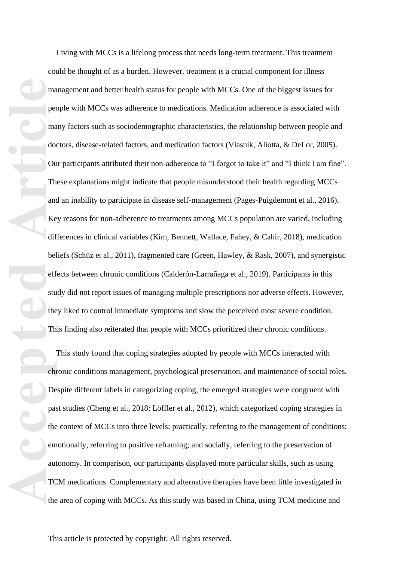ma<br>
pee<br>
ma<br>
do Ou<br>
Th<br>
and Ke<br>
dif bel<br>
eff stu<br>
the<br>
Th<br>
De<br>
paa:<br>
the<br>
em<br>
aut<br>
TC<br>
the Living with MCCs is a lifelong process that needs long -term treatment. This treatment could be thought of as a burden. However, treatment is a crucial component for illness management and better health status for people with MCCs. One of the biggest issues for people with MCCs was adherence to medications. Medication adherence is associated with many factors such as sociodemographic characteristics, the relationship between people and doctors, disease -related factors, and medication factors (Vlasnik, Aliotta, & DeLor, 2005). Our participants attributed their non -adherence to "I forgot to take it" and "I think I am fine". These explanations might indicate that people misunderstood their health regarding MCCs and an inability to participate in disease self-management (Pages -Puigdemont et al., 2016). Key reasons for non -adherence to treatments among MCCs population are varied, including differences in clinical variables (Kim, Bennett, Wallace, Fahey, & Cahir, 2018), medication beliefs (Schüz et al., 2011), fragmented care (Green, Hawley, & Rask, 2007), and synergistic effects between chronic conditions (Calderón -Larrañaga et al., 2019). Participants in this study did not report issues of managing multiple prescriptions nor adverse effects. However, they liked to control immediate symptoms and slow the perceived most severe condition. This finding also reiterated that people with MCCs prioritized their chronic conditions.

This study found that coping strategies adopted by people with MCCs interacted with chronic conditions management, psychological preservation, and maintenance of social roles. Despite different labels in categorizing coping, the emerged strategies were congruent with past studies (Cheng et al., 2018; Löffler et al., 2012), which categorized coping strategies in the context of MCCs into three levels: practically, referring to the management of conditions; emotionally, referring to positive reframing; and socially, referring to the preservation of autonomy. In comparison, our participants displayed more particular skill s, such as using TCM medications. Complementary and alternative therapies have been little investigated in the area of coping with MCCs. As this study was based in China, using TCM medicine and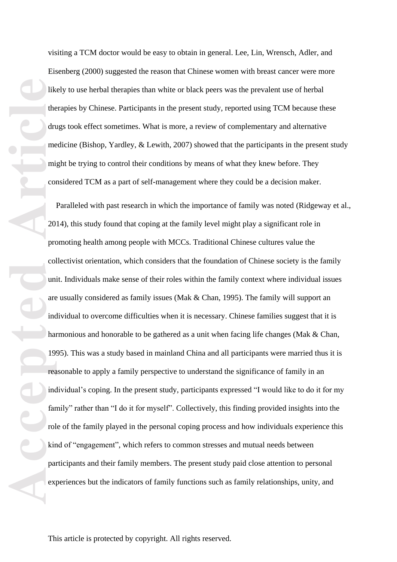visiting a TCM doctor would be easy to obtain in general. Lee, Lin, Wrensch, Adler, and Eisenberg (2000) suggested the reason that Chinese women with breast cancer were more likely to use herbal therapies than white or black peers was the prevalent use of herbal therapies by Chinese. Participants in the present study, reported using TCM because these drugs took effect sometimes. What is more, a review o f complementary and alternative medicine (Bishop, Yardley, & Lewith, 2007) showed that the participants in the present study might be trying to control their conditions by means of what they knew before. They considered TCM as a part of self-management where they could be a decision maker.

Figure 11<br>
Article<br>
Article<br>
Article<br>
Article<br>
Article<br>
Article<br>
Article<br>
Article<br>
Article<br>
Article<br>
Article<br>
Article<br>
Article<br>
Article<br>
Article<br>
Article<br>
Article<br>
Article<br>
Article<br>
Article<br>
Article<br>
Article<br>
Article<br>
Arti Paralleled with past research in which the importance of family was noted (Ridgeway et al., 2014), this study found that coping at the family level might play a significant role in promoting health among people with MCCs. Traditional Chinese cultures value the collectivist orientation, which considers that the foundation of Chinese society is the family unit. Individuals make sense of their roles within the family context where individual issues are usually considered as family issues (Mak & Chan, 1995). The family will support an individual to overcome difficulties when it is necessary. Chinese families suggest that it is harmonious and honorable to be gathered as a unit when facing life changes (Mak & Chan, 1995). This was a study based in mainland China and all participants were married thus it is reasonable to apply a family perspective to understand the significance of family in an individual's coping. In the present study, participants expressed "I would like to do it for my family" rather than "I do it for myself". Collectively, this finding provided insights into the role of the family played in the personal coping process and how individuals experience this kind of "engagement", which refers to common stresses and mutual needs between participants and their family members. The present study paid close attention to personal experiences but the indicators of family functions such as family relationships, unity, and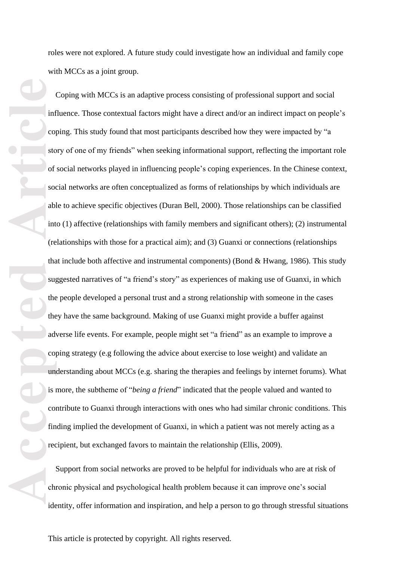roles were not explored. A future study could investigate how an individual and family cope with MCCs as a joint group.

**Accepted Articles** <br> **Article**<br> **Article**<br> **Article**<br> **Article**<br> **Article**<br> **Article**<br> **Article**<br> **Article**<br> **Article**<br> **Article**<br> **Article**<br> **Article**<br> **Article**<br> **Article**<br> **Article**<br> **Article**<br> **Article**<br> **Article**<br> Coping with MCCs is an adaptive process consisting of professional support and social influence. Those contextual factors might have a direct and/or an indirect impact on people's coping. This study found that most participants described how they were impacted by "a story of one of my friends" when seeking informational support, reflecting the important role of social networks played in influencing people's coping experiences. In the Chinese context, social networks are often conceptualized as forms of relationships by which individuals are able to achieve specific objectives (Duran Bell, 2000). Those relationships can be classified into (1) affective (relationships with family members and significant others); (2) instrumental (relationships with those for a practical aim); and (3) Guanxi or connections (relationships that include both affective and instrumental component s) (Bond & Hwang, 1986) . This study suggested narratives of "a friend's story" as experiences of making use of Guanxi, in which the people developed a personal trust and a strong relationship with someone in the cases they have the same background. Making of use Guanxi might provide a buffer against adverse life events. For example, people might set "a friend" as an example to improve a coping strategy (e.g following the advice about exercise to lose weight) and validate an understanding about MCCs (e.g. sharing the therapies and feelings by internet forums). What is more, the subtheme of "*being a friend*" indicated that the people valued and wanted to contribute to Guanxi through interactions with ones who had similar chronic conditions. This finding implied the development of Guanxi, in which a patient was not merely acting as a recipient, but exchanged favors to maintain the relationship (Ellis, 2009).

Support from social networks are proved to be helpful for individuals who are at risk of chronic physical and psychological health problem because it can improve one's social identity, offer information and inspiration, and help a person to go through stressful situations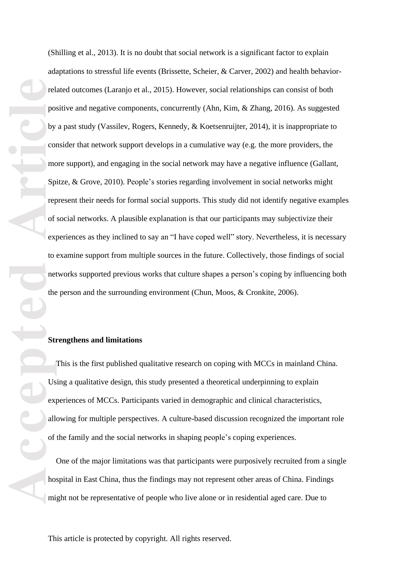For the property of the property of the property of the property of the property of the property of the property of the property of the property of the property of the property of the property of the property of the proper (Shilling et al., 2013 ). It is no doubt that social network is a significant factor to explain adaptations to stressful life events (Brissette, Scheier, & Carver, 2002) and health behavior related outcomes (Laranjo et al., 2015). However, social relationships can consist of both positive and negative components, concurrently (Ahn, Kim, & Zhang, 2016). As suggested by a past study (Vassilev, Rogers, Kennedy, & Koetsenruijter, 2014), it is inappropriate to consider that network support develops in a cumulative way (e.g. the more providers, the more support), and engaging in the social network may have a negative influence (Gallant, Spitze, & Grove, 2010). People's stories regarding involvement in social networks might represent their needs for formal social supports. This study did not identify negative examples of social networks. A plausible explanation is that our participants may subjectivize their experiences as they inclined to say an "I have coped well" story. Nevertheless, it is necessary to examine support from multiple sources in the future. Collectively, those finding s of social networks supported previous works that culture shapes a person's coping by influencing both the person and the surrounding environment (Chun, Moos, & Cronkite, 2006) .

#### **Strengthens and limitation s**

This is the first published qualitative research on coping with MCCs in mainland China. Using a qualitative design, this study presented a theoretical underpinning to explain experiences o f MCCs. Participants varied in demographic and clinical characteristics, allowing for multiple perspectives. A culture -based discussion recognize d the important role of the family and the social networks in shaping people's coping experiences.

One of the major limitations was that participants were purposively recruited from a single hospital in East China, thus the findings may not represent other areas of China. Findings might not be representative of people who live alone or in residential aged care. Due to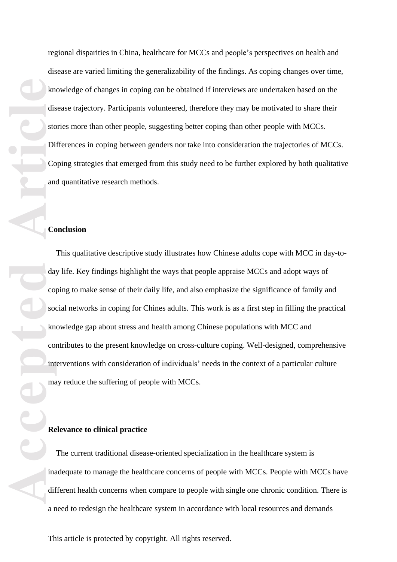regional disparities in China, healthcare for MCCs and people's perspectives on health and disease are varied limiting the generalizability of the findings. A s coping changes over time, knowledge of changes in coping can be obtained if interviews are undertaken based on the disease trajectory. Participants volunteered, therefore they may be motivated to share their stories more than other people, suggesting better coping than other people with MCCs.<br>Differences in coping between genders nor take into consideration the trajectories of MCCs.<br>Coping strategies that emerged from this stu and quantitative research methods.

#### **Conclusion**

**Accession**<br> **Accession**<br> **Accession**<br> **Accession**<br> **Accession**<br> **Accession**<br> **Accession**<br> **Accession**<br> **Accession**<br> **Accession**<br> **Accession**<br> **Accession** This qualitative descriptive study illustrates how Chinese adults cope with MCC in day-today life. Key findings highlight the ways that people appraise MCCs and adopt ways of coping to make sense of their daily life, and also emphasize the significance of family and social networks in coping for Chines adults. This work is as a first step in filling the practical knowledge gap about stress and health among Chinese populations with MCC and contributes to the present knowledge on cross -culture coping. Well -designed, comprehensive interventions with consideration of individuals' needs in the context of a particular culture may reduce the suffering of people with MCCs.

## **Relevance to clinical practice**

The current traditional disease -oriented specialization in the healthcare system is inadequate to manage the healthcare concerns of people with MCCs. People with MCCs have different health concerns when compare to people with single one chronic condition. There is a need to redesign the healthcar e system in accordance with local resources and demands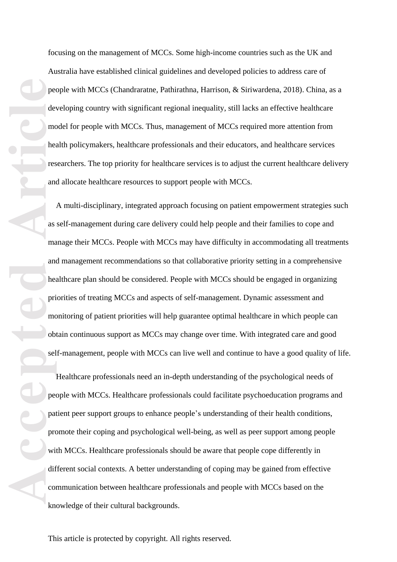focusing on the management of MCCs. Some high -income countries such as the UK and Australia have established clinical guidelines and developed policies to address care of people with MCCs (Chandraratne, Pathirathna, Harrison, & Siriwardena, 2018) . China, as a developing country with significant regional inequality, still lacks an effective healthcare model for people with MCCs. Thus, management of MCCs required more attention from health policymakers, healthcare professionals and their educators, and healthcare services researchers. The top priority for healthcare services is to adjust the current healthcare delivery and allocate healthcare resources to support people with MCCs.

ped articles and articles and articles and articles and articles and articles are ped articles and articles are ped articles and articles are ped articles and articles are ped articles and articles are ped articles and art A multi -disciplinary, integrated approach focusing on patient empowerment strategies such as self-management during care delivery could help people and their families to cope and manage their MCCs. People with MCCs may have difficulty in accommodating all treatments and management recommendations so that collaborative priority setting in a comprehensive healthcare plan should be considered. People with MCCs should be engaged in organizing priorities of treating MCCs and aspects of self-management. Dynamic assessment and monitoring of patient priorities will help guarantee optimal healthcare in which people can obtain continuous support as MCCs may change over time. With integrated care and good self-management, people with MCCs can live well and continue to have a good quality of life.

Healthcare professionals need an in -depth understanding of the psychological needs of people with MCCs. Healthcare professionals could facilitate psychoeducation programs and patient peer support groups to enhance people's understanding of their health conditions, promote their coping and psychological well -being, as well as peer support among people with MCCs. Healthcare professionals should be aware that people cope differently in different social contexts. A better understanding of coping may be gained from effective communication between healthcare professionals and people with MCCs based on the knowledge of their cultural backgrounds.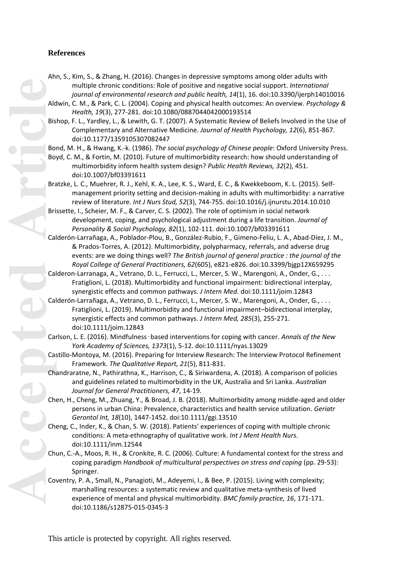# **References**

- Ahn, S., Kim, S., & Zhang, H. (2016). Changes in depressive symptoms among older adults with multiple chronic conditions: Role of positive and negative social support. *International journal of environmental research and public health, 14*(1), 16. doi:10.3390/ijerph14010016
- Aldwin, C. M., & Park, C. L. (2004). Coping and physical health outcomes: An overview. *Psychology & Health, 19*(3), 277 -281. doi:10.1080/0887044042000193514
- Bishop, F. L., Yardley, L., & Lewith, G. T. (2007). A Systematic Review of Beliefs Involved in the Use of Complementary and Alternative Medicine. *Journal of Health Psychology, 12*(6), 851 -867. doi:10.1177/1359105307082447
- Bond, M. H., & Hwang, K.-k. (1986). The social psychology of Chinese people: Oxford University Press.
- Boyd, C. M., & Fortin, M. (2010). Future of multimorbidity research: how should understanding of multimorbidity inform health system design? *Public Health Reviews, 32*(2), 451. doi:10.1007/bf03391611
- Bratzke, L. C., Muehrer, R. J., Kehl, K. A., Lee, K. S., Ward, E. C., & Kwekkeboom, K. L. (2015). Self management priority setting and decision-making in adults with multimorbidity: a narrative review of literature. *Int J Nurs Stud, 52*(3), 744 -755. doi:10.1016/j.ijnurstu.2014.10.010
- Brissette, I., Scheier, M. F., & Carver, C. S. (2002). The role of optimism in social network development, coping, and psychological adjustment during a life transition. *Journal of Personality & Social Psychology, 82*(1), 102 -111. doi:10.1007/bf03391611
- Calderón-Larrañaga, A., Poblador-Plou, B., González-Rubio, F., Gimeno-Feliu, L. A., Abad-Díez, J. M., & Prados -Torres, A. (2012). Multimorbidity, polypharmacy, referrals, and adverse drug events: are we doing things well? *The British journal of general practice : the journal of the Royal College of General Practitioners, 62*(605), e821 -e826. doi:10.3399/bjgp12X659295
- Calderon -Larranaga, A., Vetrano, D. L., Ferrucci, L., Mercer, S. W., Marengoni, A., Onder, G., . . . Fratiglioni, L. (2018). Multimorbidity and functional impairment: bidirectional interplay, synergistic effects and common pathways. *J Intern Med*. doi:10.1111/joim.12843
- Calderón -Larrañaga, A., Vetrano, D. L., Ferrucci, L., Mercer, S. W., Marengoni, A., Onder, G., . . . Fratiglioni, L. (2019). Multimorbidity and functional impairment –bidirectional interplay, synergistic effects and common pathways. *J Intern Med, 285*(3), 255 -271. doi:10.1111/joim.12843
- Carlson, L. E. (2016). Mindfulness-based interventions for coping with cancer. Annals of the New *York Academy of Sciences, 1373*(1), 5 -12. doi:10.1111/nyas.13029
- Castillo -Montoya, M. (2016). Preparing for Interview Research: The Interview Protocol Refinement Framework. *The Qualitative Report, 21*(5), 811 -831.
- Chandraratne, N., Pathirathna, K., Harrison, C., & Siriwardena, A. (2018). A comparison of policies and guidelines related to multimorbidity in the UK, Australia and Sri Lanka. *Australian Journal for General Practitioners, 47*, 14 -19.
- Chen, H., Cheng, M., Zhuang, Y., & Broad, J. B. (2018). Multimorbidity among middle -aged and older persons in urban China: Prevalence, characteristics and health service utilization. *Geriatr Gerontol Int, 18*(10), 1447 -1452. doi:10.1111/ggi.13510
- Cheng, C., Inder, K., & Chan, S. W. (2018). Patients' experiences of coping with multiple chronic conditions: A meta -ethnography of qualitative work. *Int J Ment Health Nurs*. doi:10.1111/inm.12544
- Chun, C. -A., Moos, R. H., & Cronkite, R. C. (2006). Culture: A fundamental context for the stress and coping paradigm *Handbook of multicultural perspectives on stress and coping* (pp. 29 -53): Springer.
- Coventry, P. A., Small, N., Panagioti, M., Adeyemi, I., & Bee, P. (2015). Living with complexity; marshalling resources: a systematic review and qualitative meta -synthesis of lived experience of mental and physical multimorbidity. *BMC family practice, 16*, 171 -171. doi:10.1186/s12875 -015 -0345 - 3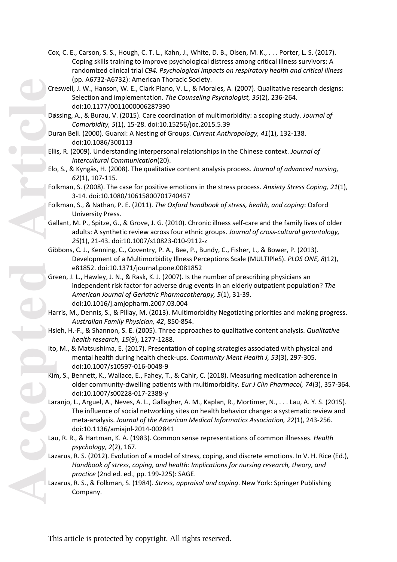- Cox, C. E., Carson, S. S., Hough, C. T. L., Kahn, J., White, D. B., Olsen, M. K., . . . Porter, L. S. (2017). Coping skills training to improve psychological distress among critical illness survivors: A randomized clinical trial *C94. Psychological impacts on respiratory health and critical illness* (pp. A6732 -A6732): American Thoracic Society.
- Creswell, J. W., Hanson, W. E., Clark Plano, V. L., & Morales, A. (2007). Qualitative research designs: Selection and implementation. *The Counseling Psychologist, 35*(2), 236 -264. doi:10.1177/0011000006287390
- Døssing, A., & Burau, V. (2015). Care coordination of multimorbidity: a scoping study. Journal of *Comorbidity, 5*(1), 15 -28. doi:10.15256/joc.2015.5.39
- Duran Bell. (2000). Guanxi: A Nesting of Groups. *Current Anthropology, 41*(1), 132 -138. doi:10.1086/300113
- Ellis, R. (2009). Understanding interpersonal relationships in the Chinese context. *Journal of Intercultural Communication*(20).
- Elo, S., & Kyngäs, H. (2008). The qualitative content analysis process. *Journal of advanced nursing, 62*(1), 107 -115.
- Folkman, S. (2008). The case for positive emotions in the stress process. *Anxiety Stress Coping, <sup>21</sup>*(1), 3-14. doi:10.1080/10615800701740457
- Folkman, S., & Nathan, P. E. (2011). *The Oxford handbook of stress, health, and coping*: Oxford University Press.
- Gallant, M. P., Spitze, G., & Grove, J. G. (2010). Chronic illness self -care and the family lives of older adults: A synthetic review across four ethnic groups. *Journal of cross -cultural gerontology, 25*(1), 21 -43. doi:10.1007/s10823 -010 -9112 - z
- Gibbons, C. J., Kenning, C., Coventry, P. A., Bee, P., Bundy, C., Fisher, L., & Bower, P. (2013). Development of a Multimorbidity Illness Perceptions Scale (MULTIPleS). *PLOS ONE, 8*(12), e81852. doi:10.1371/journal.pone.0081852
- Green, J. L., Hawley, J. N., & Rask, K. J. (2007). Is the number of prescribing physicians an independent risk factor for adverse drug events in an elderly outpatient population? *The American Journal of Geriatric Pharmacotherapy, 5*(1), 31 -39. doi:10.1016/j.amjopharm.2007.03.004
- Harris, M., Dennis, S., & Pillay, M. (2013). Multimorbidity Negotiating priorities and making progress. *Australian Family Physician, 42*, 850 -854.
- Hsieh, H. -F., & Shannon, S. E. (2005). Three approaches to qualitative content analysis. *Qualitative health research, 15*(9), 1277 -1288.
- Ito, M., & Matsushima, E. (2017). Presentation of coping strategies associated with physical and mental health during health check -ups. *Community Ment Health J, 53*(3), 297 -305. doi:10.1007/s10597 -016 -0048 - 9
- Kim, S., Bennett, K., Wallace, E., Fahey, T., & Cahir, C. (2018). Measuring medication adherence in older community -dwelling patients with multimorbidity. *Eur J Clin Pharmacol, 74*(3), 357 -364. doi:10.1007/s00228 -017 -2388 - y
- Laranjo, L., Arguel, A., Neves, A. L., Gallagher, A. M., Kaplan, R., Mortimer, N., . . . Lau, A. Y. S. (2015). The influence of social networking sites on health behavior change: a systematic review and meta -analysis. *Journal of the American Medical Informatics Association, 22*(1), 243 -256. doi:10.1136/amiajnl -2014 -002841
- Lau, R. R., & Hartman, K. A. (1983). Common sense representations of common illnesses. *Health psychology, 2*(2), 167.
- Lazarus, R. S. (2012). Evolution of a model of stress, coping, and discrete emotions. In V. H. Rice (Ed.), *Handbook of stress, coping, and health: Implications for nursing research, theory, and practice* (2nd ed. ed., pp. 199 -225): SAGE.
- Lazarus, R. S., & Folkman, S. (1984). *Stress, appraisal and coping*. New York: Springer Publishing Company.

**Cre**<br> **Accepted Article**<br> **Article**<br> **Article**<br> **Article**<br> **Article**<br> **Article**<br> **Article**<br> **Article**<br> **Article**<br> **Article**<br> **Article**<br> **Article**<br> **Article**<br> **Article**<br> **Article**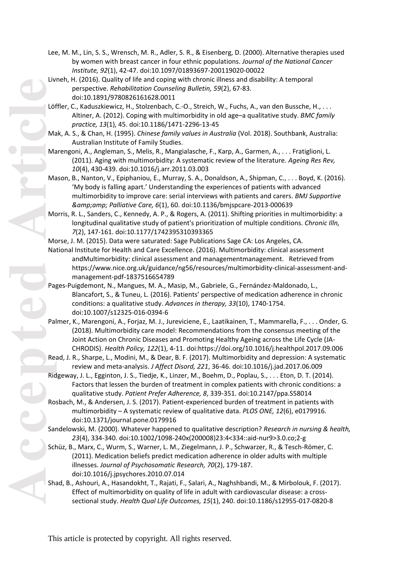- Lee, M. M., Lin, S. S., Wrensch, M. R., Adler, S. R., & Eisenberg, D. (2000). Alternative therapies used by women with breast cancer in four ethnic populations. *Journal of the National Cancer Institute, 92*(1), 42 -47. doi:10.1097/01893697 -200119020 -00022
- Livneh, H. (2016). Quality of life and coping with chronic illness and disability: A temporal perspective. *Rehabilitation Counseling Bulletin, 59*(2), 67 -83. doi:10.1891/9780826161628.0011
- Löffler, C., Kaduszkiewicz, H., Stolzenbach, C.-O., Streich, W., Fuchs, A., van den Bussche, H., . . . Altiner, A. (2012). Coping with multimorbidity in old age –a qualitative study. *BMC family practice, 13*(1), 45. doi:10.1186/1471 -2296 -13 -45
- Mak, A. S., & Chan, H. (1995). *Chinese family values in Australia* (Vol. 2018). Southbank, Australia: Australian Institute of Family Studies.
- Marengoni, A., Angleman, S., Melis, R., Mangialasche, F., Karp, A., Garmen, A., . . . Fratiglioni, L. (2011). Aging with multimorbidity: A systematic review of the literature. *Ageing Res Rev, 10*(4), 430 -439. doi:10.1016/j.arr.2011.03.003
- Mason, B., Nanton, V., Epiphaniou, E., Murray, S. A., Donaldson, A., Shipman, C., . . . Boyd, K. (2016). 'My body is falling apart.' Understanding the experiences of patients with advanced multimorbidity to improve care: serial interviews with patients and carers. *BMJ Supportive & Palliative Care, 6*(1), 60. doi:10.1136/bmjspcare -2013 -000639
- Morris, R. L., Sanders, C., Kennedy, A. P., & Rogers, A. (2011). Shifting priorities in multimorbidity: a longitudinal qualitative study of patient's prioritization of multiple conditions. *Chronic Illn, 7*(2), 147-161. doi:10.1177/1742395310393365

Morse, J. M. (2015). Data were saturated: Sage Publications Sage CA: Los Angeles, CA.

- National Institute for Health and Care Excellence. (2016). Multimorbidity: clinical assessment andMultimorbidity: clinical assessment and managementmanagement. Retrieved from https://www.nice.org.uk/guidance/ng56/resources/multimorbidity-clinical-assessment-andmanagement -pdf -1837516654789
- Pages -Puigdemont, N., Mangues, M. A., Masip, M., Gabriele, G., Fernández -Maldonado, L., Blancafort, S., & Tuneu, L. (2016). Patients' perspective of medication adherence in chronic conditions: a qualitative study. *Advances in therapy, 33*(10), 1740 -1754. doi:10.1007/s12325 -016 -0394 - 6
- Palmer, K., Marengoni, A., Forjaz, M. J., Jureviciene, E., Laatikainen, T., Mammarella, F., . . . Onder, G. (2018). Multimorbidity care model: Recommendations from the consensus meeting of the Joint Action on Chronic Diseases and Promoting Healthy Ageing across the Life Cycle (JA - CHRODIS). *Health Policy, 122*(1), 4 -11. doi:https://doi.org/10.1016/j.healthpol.2017.09.006
- Read, J. R., Sharpe, L., Modini, M., & Dear, B. F. (2017). Multimorbidity and depression: A systematic review and meta -analysis. *J Affect Disord, 221*, 36 -46. doi:10.1016/j.jad.2017.06.009
- Ridgeway, J. L., Egginton, J. S., Tiedje, K., Linzer, M., Boehm, D., Poplau, S., . . . Eton, D. T. (2014). Factors that lessen the burden of treatment in complex patients with chronic conditions: a qualitative study. *Patient Prefer Adherence, 8*, 339 -351. doi:10.2147/ppa.S58014
- Rosbach, M., & Andersen, J. S. (2017). Patient -experienced burden of treatment in patients with multimorbidity – A systematic review of qualitative data. *PLOS ONE, 12*(6), e0179916. doi:10.1371/journal.pone.0179916
- Sandelowski, M. (2000). Whatever happened to qualitative description? *Research in nursing & health,*  23(4), 334-340. doi:10.1002/1098-240x(200008)23:4<334::aid-nur9>3.0.co;2-g
- Schüz, B., Marx, C., Wurm, S., Warner, L. M., Ziegelmann, J. P., Schwarzer, R., & Tesch -Römer, C. (2011). Medication beliefs predict medication adherence in older adults with multiple illnesses. *Journal of Psychosomatic Research, 70*(2), 179 -187. doi:10.1016/j.jpsychores.2010.07.014
- Shad, B., Ashouri, A., Hasandokht, T., Rajati, F., Salari, A., Naghshbandi, M., & Mirbolouk, F. (2017). Effect of multimorbidity on quality of life in adult with cardiovascular disease: a cross sectional study. *Health Qual Life Outcomes, 15*(1), 240. doi:10.1186/s12955 -017 -0820 - 8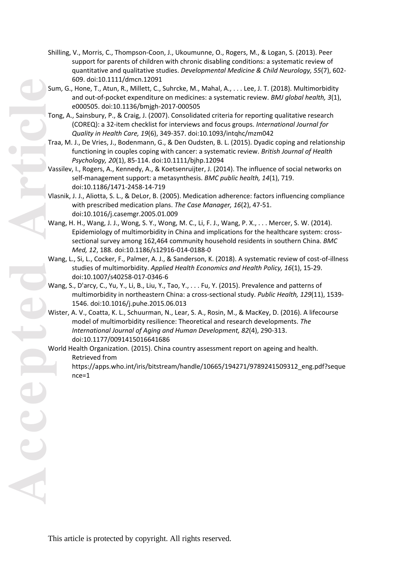- Shilling, V., Morris, C., Thompson -Coon, J., Ukoumunne, O., Rogers, M., & Logan, S. (2013). Peer support for parents of children with chronic disabling conditions: a systematic review of quantitative and qualitative studies. *Developmental Medicine & Child Neurology, 55*(7), 602 - 609. doi:10.1111/dmcn.12091
- Sum, G., Hone, T., Atun, R., Millett, C., Suhrcke, M., Mahal, A., . . . Lee, J. T. (2018). Multimorbidity and out -of -pocket expenditure on medicines: a systematic review. *BMJ global health, 3*(1), e000505. doi:10.1136/bmjgh -2017 -000505
- Tong, A., Sainsbury, P., & Craig, J. (2007). Consolidated criteria for reporting qualitative research (COREQ): a 32 -item checklist for interviews and focus groups. *International Journal for Quality in Health Care, 19*(6), 349 -357. doi:10.1093/intqhc/mzm042
- Traa, M. J., De Vries, J., Bodenmann, G., & Den Oudsten, B. L. (2015). Dyadic coping and relationship functioning in couples coping with cancer: a systematic review. *British Journal of Health Psychology, 20*(1), 85 -114. doi:10.1111/bjhp.12094
- Vassilev, I., Rogers, A., Kennedy, A., & Koetsenruijter, J. (2014). The influence of social networks on self -management support: a metasynthesis. *BMC public health, 14*(1), 719. doi:10.1186/1471 -2458 -14 -719
- Vlasnik, J. J., Aliotta, S. L., & DeLor, B. (2005). Medication adherence: factors influencing compliance with prescribed medication plans. *The Case Manager, 16*(2), 4 7 -51. doi:10.1016/j.casemgr.2005.01.009
- Wang, H. H., Wang, J. J., Wong, S. Y., Wong, M. C., Li, F. J., Wang, P. X., . . . Mercer, S. W. (2014). Epidemiology of multimorbidity in China and implications for the healthcare system: cross sectional survey among 162,464 community household residents in southern China. *BMC*  Med, 12, 188. doi:10.1186/s12916-014-0188-0
- Wang, L., Si, L., Cocker, F., Palmer, A. J., & Sanderson, K. (2018). A systematic review of cost-of-illness studies of multimorbidity. *Applied Health Economics and Health Policy, 16*(1), 15 -29. doi:10.1007/s40258 -017 -0346 - 6
- Wang, S., D'arcy, C., Yu, Y., Li, B., Liu, Y., Tao, Y., . . . Fu, Y. (2015). Prevalence and patterns of multimorbidity in northeastern China: a cross -sectional study. *Public Health, 129*(11), 1539 - 1546. doi:10.1016/j.puhe.2015.06.013
- Wister, A. V., Coatta, K. L., Schuurman, N., Lear, S. A., Rosin, M., & MacKey, D. (2016). A lifecourse model of multimorbidity resilience: Theoretical and research developments. *The International Journal of Aging and Human Development, 82*(4), 290 -313. doi:10.1177/0091415016641686
- World Health Organization. (2015). China country assessment report on ageing and health. Retrieved from
	- https://apps.who.int/iris/bitstream/handle/10665/194271/9789241509312\_eng.pdf?seque nce=1